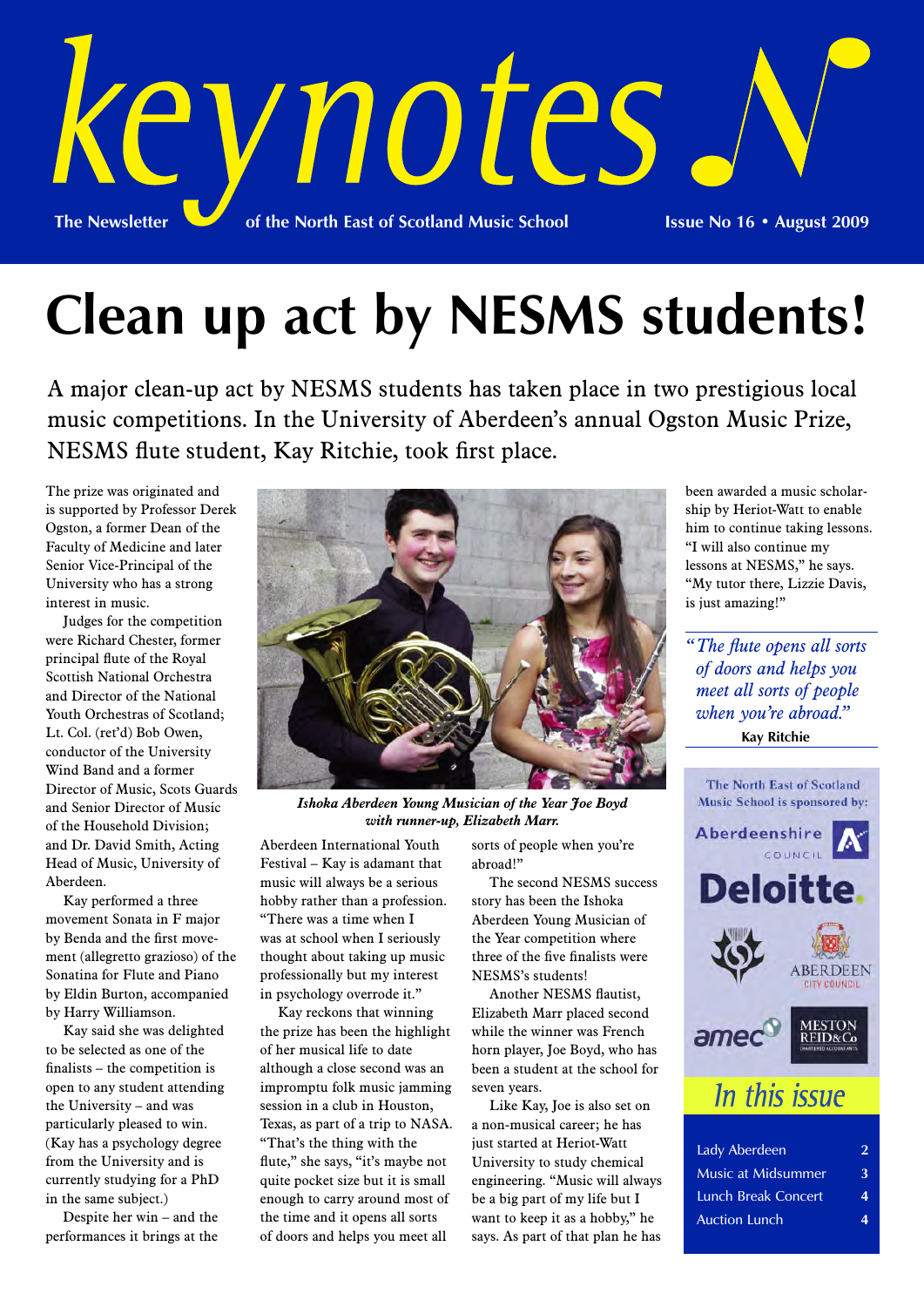

# **Clean up act by NESMS students!**

A major clean-up act by NESMS students has taken place in two prestigious local music competitions. In the University of Aberdeen's annual Ogston Music Prize, NESMS flute student, Kay Ritchie, took first place.

The prize was originated and is supported by Professor Derek Ogston, a former Dean of the Faculty of Medicine and later Senior Vice-Principal of the University who has a strong interest in music.

Judges for the competition were Richard Chester, former principal flute of the Royal Scottish National Orchestra and Director of the National Youth Orchestras of Scotland; Lt. Col. (ret'd) Bob Owen, conductor of the University Wind Band and a former Director of Music, Scots Guards and Senior Director of Music of the Household Division; and Dr. David Smith, Acting Head of Music, University of Aberdeen.

Kay performed a three movement Sonata in F major by Benda and the first movement (allegretto grazioso) of the Sonatina for Flute and Piano by Eldin Burton, accompanied by Harry Williamson.

Kay said she was delighted to be selected as one of the finalists – the competition is open to any student attending the University – and was particularly pleased to win. (Kay has a psychology degree from the University and is currently studying for a PhD in the same subject.)

Despite her win – and the performances it brings at the



*Ishoka Aberdeen Young Musician of the Year Joe Boyd with runner-up, Elizabeth Marr.*

Aberdeen International Youth Festival – Kay is adamant that music will always be a serious hobby rather than a profession. "There was a time when I was at school when I seriously thought about taking up music professionally but my interest in psychology overrode it."

Kay reckons that winning the prize has been the highlight of her musical life to date although a close second was an impromptu folk music jamming session in a club in Houston, Texas, as part of a trip to NASA. "That's the thing with the flute," she says, "it's maybe not quite pocket size but it is small enough to carry around most of the time and it opens all sorts of doors and helps you meet all

sorts of people when you're abroad!"

The second NESMS success story has been the Ishoka Aberdeen Young Musician of the Year competition where three of the five finalists were NESMS's students!

Another NESMS flautist, Elizabeth Marr placed second while the winner was French horn player, Joe Boyd, who has been a student at the school for seven years.

Like Kay, Joe is also set on a non-musical career; he has just started at Heriot-Watt University to study chemical engineering. "Music will always be a big part of my life but I want to keep it as a hobby," he says. As part of that plan he has

been awarded a music scholarship by Heriot-Watt to enable him to continue taking lessons. "I will also continue my lessons at NESMS," he says. "My tutor there, Lizzie Davis, is just amazing!"

*" The flute opens all sorts of doors and helps you meet all sorts of people when you're abroad."*

**Kay Ritchie**



| Lady Aberdeen              | 2 |
|----------------------------|---|
| <b>Music at Midsummer</b>  | 3 |
| <b>Lunch Break Concert</b> | 4 |
| <b>Auction Lunch</b>       | 4 |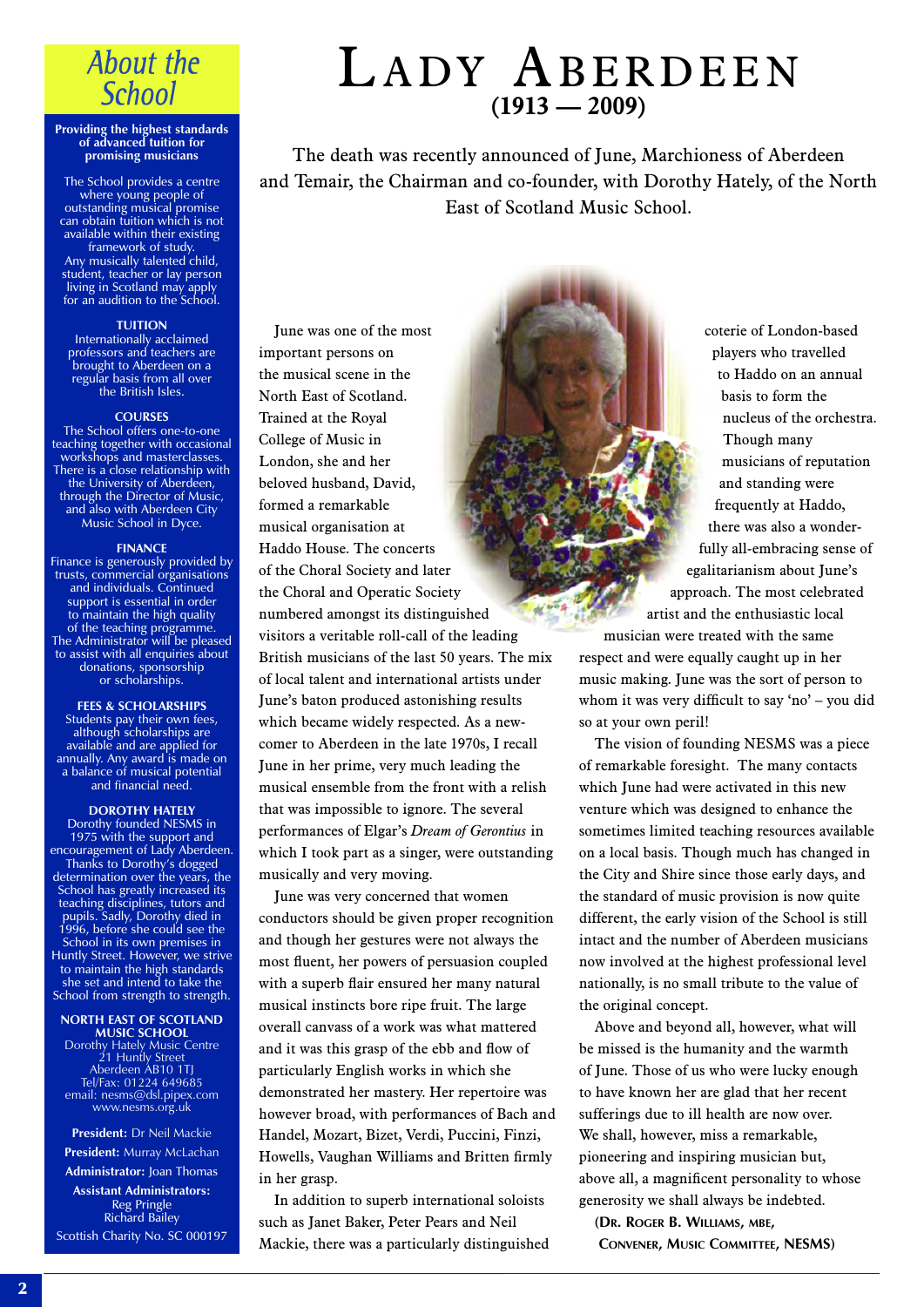### **About the School**

#### **Providing the highest standards of advanced tuition for promising musicians**

The School provides a centre where young people of outstanding musical promise can obtain tuition which is not available within their existing framework of study. Any musically talented child, student, teacher or lay person living in Scotland may apply for an audition to the School.

### **TUITION**

Internationally acclaimed professors and teachers are brought to Aberdeen on a regular basis from all over the British Isles.

#### **COURSES**

The School offers one-to-one teaching together with occasional workshops and masterclasses. There is a close relationship with the University of Aberdeen, through the Director of Music, and also with Aberdeen City Music School in Dyce.

#### **FINANCE**

Finance is generously provided by trusts, commercial organisations and individuals. Continued support is essential in order to maintain the high quality of the teaching programme. The Administrator will be pleased to assist with all enquiries about donations, sponsorship or scholarships.

**FEES & SCHOLARSHIPS** Students pay their own fees, although scholarships are available and are applied for annually. Any award is made on a balance of musical potential and financial need.

### **DOROTHY HATELY**

Dorothy founded NESMS in 1975 with the support and encouragement of Lady Aberdeen. Thanks to Dorothy's dogged determination over the years, the School has greatly increased its teaching disciplines, tutors and pupils. Sadly, Dorothy died in 1996, before she could see the School in its own premises in Huntly Street. However, we strive to maintain the high standards she set and intend to take the School from strength to strength.

**NORTH EAST OF SCOTLAND MUSIC SCHOOL** Dorothy Hately Music Centre 21 Huntly Street Aberdeen AB10 1TJ Tel/Fax: 01224 649685 email: nesms@dsl.pipex.com www.nesms.org.uk

**President:** Dr Neil Mackie

**President:** Murray McLachan **Administrator:** Joan Thomas

**Assistant Administrators:** Reg Pringle Richard Bailey Scottish Charity No. SC 000197

## LADY ABERDEEN **(1913 — 2009)**

The death was recently announced of June, Marchioness of Aberdeen and Temair, the Chairman and co-founder, with Dorothy Hately, of the North East of Scotland Music School.

June was one of the most important persons on the musical scene in the North East of Scotland. Trained at the Royal College of Music in London, she and her beloved husband, David, formed a remarkable musical organisation at Haddo House. The concerts of the Choral Society and later the Choral and Operatic Society numbered amongst its distinguished visitors a veritable roll-call of the leading British musicians of the last 50 years. The mix of local talent and international artists under June's baton produced astonishing results which became widely respected. As a newcomer to Aberdeen in the late 1970s, I recall June in her prime, very much leading the musical ensemble from the front with a relish that was impossible to ignore. The several performances of Elgar's *Dream of Gerontius* in which I took part as a singer, were outstanding musically and very moving.

June was very concerned that women conductors should be given proper recognition and though her gestures were not always the most fluent, her powers of persuasion coupled with a superb flair ensured her many natural musical instincts bore ripe fruit. The large overall canvass of a work was what mattered and it was this grasp of the ebb and flow of particularly English works in which she demonstrated her mastery. Her repertoire was however broad, with performances of Bach and Handel, Mozart, Bizet, Verdi, Puccini, Finzi, Howells, Vaughan Williams and Britten firmly in her grasp.

In addition to superb international soloists such as Janet Baker, Peter Pears and Neil Mackie, there was a particularly distinguished

coterie of London-based players who travelled to Haddo on an annual basis to form the nucleus of the orchestra. Though many musicians of reputation and standing were frequently at Haddo, there was also a wonderfully all-embracing sense of egalitarianism about June's approach. The most celebrated artist and the enthusiastic local musician were treated with the same

respect and were equally caught up in her music making. June was the sort of person to whom it was very difficult to say 'no' – you did so at your own peril!

The vision of founding NESMS was a piece of remarkable foresight. The many contacts which June had were activated in this new venture which was designed to enhance the sometimes limited teaching resources available on a local basis. Though much has changed in the City and Shire since those early days, and the standard of music provision is now quite different, the early vision of the School is still intact and the number of Aberdeen musicians now involved at the highest professional level nationally, is no small tribute to the value of the original concept.

Above and beyond all, however, what will be missed is the humanity and the warmth of June. Those of us who were lucky enough to have known her are glad that her recent sufferings due to ill health are now over. We shall, however, miss a remarkable, pioneering and inspiring musician but, above all, a magnificent personality to whose generosity we shall always be indebted.

**(DR. ROGER B. WILLIAMS, MBE, CONVENER, MUSIC COMMITTEE, NESMS)**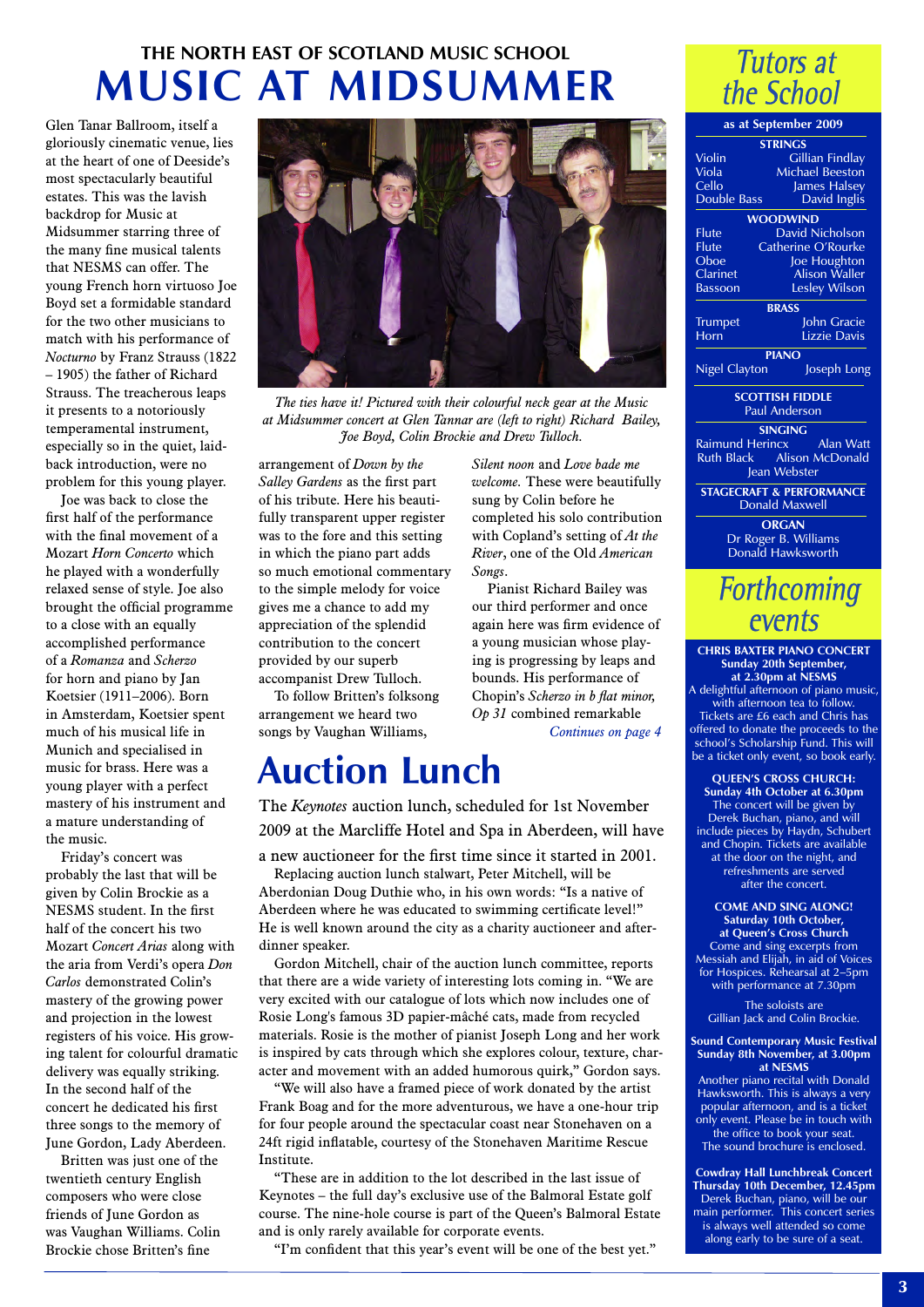### **THE NORTH EAST OF SCOTLAND MUSIC SCHOOL MUSIC AT MIDSUMMER**

Glen Tanar Ballroom, itself a gloriously cinematic venue, lies at the heart of one of Deeside's most spectacularly beautiful estates. This was the lavish backdrop for Music at Midsummer starring three of the many fine musical talents that NESMS can offer. The young French horn virtuoso Joe Boyd set a formidable standard for the two other musicians to match with his performance of *Nocturno* by Franz Strauss (1822 – 1905) the father of Richard Strauss. The treacherous leaps it presents to a notoriously temperamental instrument, especially so in the quiet, laidback introduction, were no problem for this young player.

Joe was back to close the first half of the performance with the final movement of a Mozart *Horn Concerto* which he played with a wonderfully relaxed sense of style. Joe also brought the official programme to a close with an equally accomplished performance of a *Romanza* and *Scherzo* for horn and piano by Jan Koetsier (1911–2006). Born in Amsterdam, Koetsier spent much of his musical life in Munich and specialised in music for brass. Here was a young player with a perfect mastery of his instrument and a mature understanding of the music.

Friday's concert was probably the last that will be given by Colin Brockie as a NESMS student. In the first half of the concert his two Mozart *Concert Arias* along with the aria from Verdi's opera *Don Carlos* demonstrated Colin's mastery of the growing power and projection in the lowest registers of his voice. His growing talent for colourful dramatic delivery was equally striking. In the second half of the concert he dedicated his first three songs to the memory of June Gordon, Lady Aberdeen.

Britten was just one of the twentieth century English composers who were close friends of June Gordon as was Vaughan Williams. Colin Brockie chose Britten's fine



*The ties have it! Pictured with their colourful neck gear at the Music at Midsummer concert at Glen Tannar are (left to right) Richard Bailey, Joe Boyd, Colin Brockie and Drew Tulloch.*

*Songs*.

*Silent noon* and *Love bade me welcome.* These were beautifully sung by Colin before he completed his solo contribution with Copland's setting of *At the River*, one of the Old *American*

Pianist Richard Bailey was our third performer and once again here was firm evidence of a young musician whose playing is progressing by leaps and bounds. His performance of Chopin's *Scherzo in b flat minor, Op 31* combined remarkable

*Continues on page 4*

arrangement of *Down by the Salley Gardens* as the first part of his tribute. Here his beautifully transparent upper register was to the fore and this setting in which the piano part adds so much emotional commentary to the simple melody for voice gives me a chance to add my appreciation of the splendid contribution to the concert provided by our superb accompanist Drew Tulloch.

To follow Britten's folksong arrangement we heard two songs by Vaughan Williams,

# **Auction Lunch**

The *Keynotes* auction lunch, scheduled for 1st November 2009 at the Marcliffe Hotel and Spa in Aberdeen, will have

a new auctioneer for the first time since it started in 2001. Replacing auction lunch stalwart, Peter Mitchell, will be Aberdonian Doug Duthie who, in his own words: "Is a native of Aberdeen where he was educated to swimming certificate level!" He is well known around the city as a charity auctioneer and afterdinner speaker.

Gordon Mitchell, chair of the auction lunch committee, reports that there are a wide variety of interesting lots coming in. "We are very excited with our catalogue of lots which now includes one of Rosie Long's famous 3D papier-mâché cats, made from recycled materials. Rosie is the mother of pianist Joseph Long and her work is inspired by cats through which she explores colour, texture, character and movement with an added humorous quirk," Gordon says.

"We will also have a framed piece of work donated by the artist Frank Boag and for the more adventurous, we have a one-hour trip for four people around the spectacular coast near Stonehaven on a 24ft rigid inflatable, courtesy of the Stonehaven Maritime Rescue Institute.

"These are in addition to the lot described in the last issue of Keynotes – the full day's exclusive use of the Balmoral Estate golf course. The nine-hole course is part of the Queen's Balmoral Estate and is only rarely available for corporate events.

"I'm confident that this year's event will be one of the best yet."

### **Tutors at** the School

| as at September 2009 |                                                       |  |
|----------------------|-------------------------------------------------------|--|
|                      | <b>STRINGS</b>                                        |  |
| Violin               | Gillian Findlay                                       |  |
| Viola                | <b>Michael Beeston</b>                                |  |
| Cello                | James Halsey                                          |  |
| <b>Double Bass</b>   | David Inglis                                          |  |
|                      | <b>WOODWIND</b>                                       |  |
| Flute                | David Nicholson                                       |  |
| Flute                | Catherine O'Rourke                                    |  |
| Oboe                 | Joe Houghton                                          |  |
| Clarinet             | <b>Alison Waller</b>                                  |  |
| <b>Bassoon</b>       | Lesley Wilson                                         |  |
|                      | <b>BRASS</b>                                          |  |
| <b>Trumpet</b>       | John Gracie                                           |  |
| Horn                 | Lizzie Davis                                          |  |
| <b>PIANO</b>         |                                                       |  |
| Nigel Clayton        | Joseph Long                                           |  |
|                      | <b>SCOTTISH FIDDLE</b>                                |  |
|                      | <b>Paul Anderson</b>                                  |  |
|                      | <b>SINGING</b>                                        |  |
|                      | Raimund Herincx Alan Watt                             |  |
|                      | Ruth Black Alison McDonald                            |  |
|                      | Jean Webster                                          |  |
|                      | <b>STAGECRAFT &amp; PERFORMANCE</b><br>Donald Maxwell |  |

**ORGAN** Dr Roger B. Williams Donald Hawksworth

### **Forthcoming** events

**CHRIS BAXTER PIANO CONCERT Sunday 20th September, at 2.30pm at NESMS** A delightful afternoon of piano music, with afternoon tea to follow. Tickets are £6 each and Chris has offered to donate the proceeds to the school's Scholarship Fund. This will be a ticket only event, so book early.

**QUEEN'S CROSS CHURCH: Sunday 4th October at 6.30pm** The concert will be given by Derek Buchan, piano, and will include pieces by Haydn, Schubert and Chopin. Tickets are available at the door on the night, and refreshments are served after the concert.

**COME AND SING ALONG! Saturday 10th October, at Queen's Cross Church** Come and sing excerpts from Messiah and Elijah, in aid of Voices for Hospices. Rehearsal at 2–5pm with performance at 7.30pm

The soloists are Gillian Jack and Colin Brockie.

**Sound Contemporary Music Festival Sunday 8th November, at 3.00pm at NESMS**

Another piano recital with Donald Hawksworth. This is always a very popular afternoon, and is a ticket only event. Please be in touch with the office to book your seat. The sound brochure is enclosed.

**Cowdray Hall Lunchbreak Concert Thursday 10th December, 12.45pm** Derek Buchan, piano, will be our main performer. This concert series is always well attended so come along early to be sure of a seat.